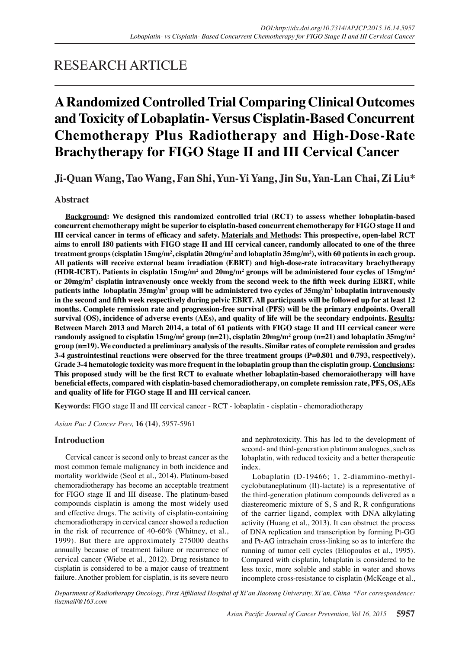## RESEARCH ARTICLE

# **A Randomized Controlled Trial Comparing Clinical Outcomes and Toxicity of Lobaplatin- Versus Cisplatin-Based Concurrent Chemotherapy Plus Radiotherapy and High-Dose-Rate Brachytherapy for FIGO Stage II and III Cervical Cancer**

**Ji-Quan Wang, Tao Wang, Fan Shi, Yun-Yi Yang, Jin Su, Yan-Lan Chai, Zi Liu\***

## **Abstract**

**Background: We designed this randomized controlled trial (RCT) to assess whether lobaplatin-based concurrent chemotherapy might be superior to cisplatin-based concurrent chemotherapy for FIGO stage II and III cervical cancer in terms of efficacy and safety. Materials and Methods: This prospective, open-label RCT aims to enroll 180 patients with FIGO stage II and III cervical cancer, randomly allocated to one of the three**  treatment groups (cisplatin 15mg/m<sup>2</sup>, cisplatin 20mg/m<sup>2</sup> and lobaplatin 35mg/m<sup>2</sup>), with 60 patients in each group. **All patients will receive external beam irradiation (EBRT) and high-dose-rate intracavitary brachytherapy**  (HDR-ICBT). Patients in cisplatin 15mg/m<sup>2</sup> and 20mg/m<sup>2</sup> groups will be administered four cycles of 15mg/m<sup>2</sup> **or 20mg/m2 cisplatin intravenously once weekly from the second week to the fifth week during EBRT, while patients inthe lobaplatin 35mg/m2 group will be administered two cycles of 35mg/m2 lobaplatin intravenously in the second and fifth week respectively during pelvic EBRT. All participants will be followed up for at least 12 months. Complete remission rate and progression-free survival (PFS) will be the primary endpoints. Overall survival (OS), incidence of adverse events (AEs), and quality of life will be the secondary endpoints. Results: Between March 2013 and March 2014, a total of 61 patients with FIGO stage II and III cervical cancer were**   ${\rm\bf r}$ andomly assigned to cisplatin 15mg/m<sup>2</sup> group (n=21), cisplatin 20mg/m<sup>2</sup> group (n=21) and lobaplatin 35mg/m<sup>2</sup> **group (n=19). We conducted a preliminary analysis of the results. Similar rates of complete remission and grades 3-4 gastrointestinal reactions were observed for the three treatment groups (P=0.801 and 0.793, respectively). Grade 3-4 hematologic toxicity was more frequent in the lobaplatin group than the cisplatin group. Conclusions: This proposed study will be the first RCT to evaluate whether lobaplatin-based chemoraiotherapy will have beneficial effects, compared with cisplatin-based chemoradiotherapy, on complete remission rate, PFS, OS, AEs and quality of life for FIGO stage II and III cervical cancer.**

**Keywords:** FIGO stage II and III cervical cancer - RCT - lobaplatin - cisplatin - chemoradiotherapy

*Asian Pac J Cancer Prev,* **16 (14)**, 5957-5961

## **Introduction**

Cervical cancer is second only to breast cancer as the most common female malignancy in both incidence and mortality worldwide (Seol et al., 2014). Platinum-based chemoradiotherapy has become an acceptable treatment for FIGO stage II and III disease. The platinum-based compounds cisplatin is among the most widely used and effective drugs. The activity of cisplatin-containing chemoradiotherapy in cervical cancer showed a reduction in the risk of recurrence of 40-60% (Whitney, et al., 1999). But there are approximately 275000 deaths annually because of treatment failure or recurrence of cervical cancer (Wiebe et al., 2012). Drug resistance to cisplatin is considered to be a major cause of treatment failure. Another problem for cisplatin, is its severe neuro and nephrotoxicity. This has led to the development of second- and third-generation platinum analogues, such as lobaplatin, with reduced toxicity and a better therapeutic index.

Lobaplatin (D-19466; 1, 2-diammino-methylcyclobutaneplatinum (II)-lactate) is a representative of the third-generation platinum compounds delivered as a diastereomeric mixture of S, S and R, R configurations of the carrier ligand, complex with DNA alkylating activity (Huang et al., 2013). It can obstruct the process of DNA replication and transcription by forming Pt-GG and Pt-AG intrachain cross-linking so as to interfere the running of tumor cell cycles (Eliopoulos et al., 1995). Compared with cisplatin, lobaplatin is considered to be less toxic, more soluble and stable in water and shows incomplete cross-resistance to cisplatin (McKeage et al.,

*Department of Radiotherapy Oncology, First Affiliated Hospital of Xi'an Jiaotong University, Xi'an, China \*For correspondence: liuzmail@163.com*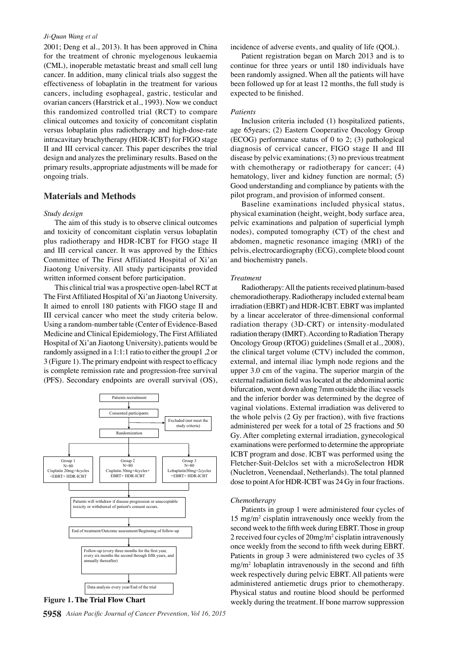#### *Ji-Quan Wang et al*

2001; Deng et al., 2013). It has been approved in China for the treatment of chronic myelogenous leukaemia (CML), inoperable metastatic breast and small cell lung cancer. In addition, many clinical trials also suggest the effectiveness of lobaplatin in the treatment for various cancers, including esophageal, gastric, testicular and ovarian cancers (Harstrick et al., 1993). Now we conduct this randomized controlled trial (RCT) to compare clinical outcomes and toxicity of concomitant cisplatin versus lobaplatin plus radiotherapy and high-dose-rate intracavitary brachytherapy (HDR-ICBT) for FIGO stage II and III cervical cancer. This paper describes the trial design and analyzes the preliminary results. Based on the primary results, appropriate adjustments will be made for ongoing trials.

#### **Materials and Methods**

#### *Study design*

The aim of this study is to observe clinical outcomes and toxicity of concomitant cisplatin versus lobaplatin plus radiotherapy and HDR-ICBT for FIGO stage II and III cervical cancer. It was approved by the Ethics Committee of The First Affiliated Hospital of Xi'an Jiaotong University. All study participants provided written informed consent before participation.

This clinical trial was a prospective open-label RCT at The First Affiliated Hospital of Xi'an Jiaotong University. It aimed to enroll 180 patients with FIGO stage II and III cervical cancer who meet the study criteria below. Using a random-number table (Center of Evidence-Based Medicine and Clinical Epidemiology, The First Affiliated Hospital of Xi'an Jiaotong University), patients would be randomly assigned in a 1:1:1 ratio to either the group1 ,2 or 3 (Figure 1). The primary endpoint with respect to efficacy is complete remission rate and progression-free survival (PFS). Secondary endpoints are overall survival (OS),



**5958** *Asian Pacific Journal of Cancer Prevention, Vol 16, 2015*

incidence of adverse events, and quality of life (QOL).

Patient registration began on March 2013 and is to continue for three years or until 180 individuals have been randomly assigned. When all the patients will have been followed up for at least 12 months, the full study is expected to be finished.

#### *Patients*

Inclusion criteria included (1) hospitalized patients, age 65years; (2) Eastern Cooperative Oncology Group (ECOG) performance status of 0 to 2; (3) pathological diagnosis of cervical cancer, FIGO stage II and Ⅲ disease by pelvic examinations; (3) no previous treatment with chemotherapy or radiotherapy for cancer; (4) hematology, liver and kidney function are normal; (5) Good understanding and compliance by patients with the pilot program, and provision of informed consent.

Baseline examinations included physical status, physical examination (height, weight, body surface area, pelvic examinations and palpation of superficial lymph nodes), computed tomography (CT) of the chest and abdomen, magnetic resonance imaging (MRI) of the pelvis, electrocardiography (ECG), complete blood count and biochemistry panels.

#### *Treatment*

Radiotherapy: All the patients received platinum-based chemoradiotherapy. Radiotherapy included external beam irradiation (EBRT) and HDR-ICBT. EBRT was implanted by a linear accelerator of three-dimensional conformal radiation therapy (3D-CRT) or intensity-modulated radiation therapy (IMRT). According to Radiation Therapy Oncology Group (RTOG) guidelines (Small et al., 2008), the clinical target volume (CTV) included the common, external, and internal iliac lymph node regions and the upper 3.0 cm of the vagina. The superior margin of the external radiation field was located at the abdominal aortic bifurcation, went down along 7mm outside the iliac vessels and the inferior border was determined by the degree of vaginal violations. External irradiation was delivered to the whole pelvis (2 Gy per fraction), with five fractions administered per week for a total of 25 fractions and 50 Gy. After completing external irradiation, gynecological examinations were performed to determine the appropriate ICBT program and dose. ICBT was performed using the Fletcher-Suit-Delclos set with a microSelectron HDR (Nucletron, Veenendaal, Netherlands). The total planned dose to point A for HDR-ICBT was 24 Gy in four fractions.

#### *Chemotherapy*

Patients in group 1 were administered four cycles of 15 mg/m2 cisplatin intravenously once weekly from the second week to the fifth week during EBRT. Those in group 2 received four cycles of 20mg/m<sup>2</sup> cisplatin intravenously once weekly from the second to fifth week during EBRT. Patients in group 3 were administered two cycles of 35 mg/m2 lobaplatin intravenously in the second and fifth week respectively during pelvic EBRT. All patients were administered antiemetic drugs prior to chemotherapy. Physical status and routine blood should be performed **Figure 1. The Trial Flow Chart** weekly during the treatment. If bone marrow suppression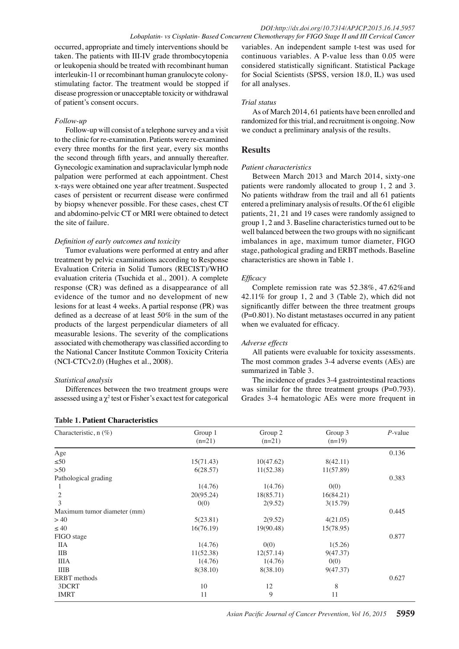occurred, appropriate and timely interventions should be taken. The patients with III-IV grade thrombocytopenia or leukopenia should be treated with recombinant human interleukin-11 or recombinant human granulocyte colonystimulating factor. The treatment would be stopped if disease progression or unacceptable toxicity or withdrawal of patient's consent occurs.

## *Follow-up*

Follow-up will consist of a telephone survey and a visit to the clinic for re-examination. Patients were re-examined every three months for the first year, every six months the second through fifth years, and annually thereafter. Gynecologic examination and supraclavicular lymph node palpation were performed at each appointment. Chest x-rays were obtained one year after treatment. Suspected cases of persistent or recurrent disease were confirmed by biopsy whenever possible. For these cases, chest CT and abdomino-pelvic CT or MRI were obtained to detect the site of failure.

#### *Definition of early outcomes and toxicity*

Tumor evaluations were performed at entry and after treatment by pelvic examinations according to Response Evaluation Criteria in Solid Tumors (RECIST)/WHO evaluation criteria (Tsuchida et al., 2001). A complete response (CR) was defined as a disappearance of all evidence of the tumor and no development of new lesions for at least 4 weeks. A partial response (PR) was defined as a decrease of at least 50% in the sum of the products of the largest perpendicular diameters of all measurable lesions. The severity of the complications associated with chemotherapy was classified according to the National Cancer Institute Common Toxicity Criteria (NCI-CTCv2.0) (Hughes et al., 2008).

## *Statistical analysis*

Differences between the two treatment groups were assessed using a  $\chi^2$  test or Fisher's exact test for categorical

## **Table 1. Patient Characteristics**

variables. An independent sample t-test was used for continuous variables. A P-value less than 0.05 were considered statistically significant. Statistical Package for Social Scientists (SPSS, version 18.0, IL) was used for all analyses.

#### *Trial status*

As of March 2014, 61 patients have been enrolled and randomized for this trial, and recruitment is ongoing. Now we conduct a preliminary analysis of the results.

## **Results**

#### *Patient characteristics*

Between March 2013 and March 2014, sixty-one patients were randomly allocated to group 1, 2 and 3. No patients withdraw from the trail and all 61 patients entered a preliminary analysis of results. Of the 61 eligible patients, 21, 21 and 19 cases were randomly assigned to group 1, 2 and 3. Baseline characteristics turned out to be well balanced between the two groups with no significant imbalances in age, maximum tumor diameter, FIGO stage, pathological grading and ERBT methods. Baseline characteristics are shown in Table 1.

## *Efficacy*

Complete remission rate was 52.38%, 47.62%and 42.11% for group 1, 2 and 3 (Table 2), which did not significantly differ between the three treatment groups (P=0.801). No distant metastases occurred in any patient when we evaluated for efficacy.

#### *Adverse effects*

All patients were evaluable for toxicity assessments. The most common grades 3-4 adverse events (AEs) are summarized in Table 3.

The incidence of grades 3-4 gastrointestinal reactions was similar for the three treatment groups (P=0.793). Grades 3-4 hematologic AEs were more frequent in

| Characteristic, n (%)       | Group 1   | Group 2   | Group 3   | $P$ -value |  |  |  |
|-----------------------------|-----------|-----------|-----------|------------|--|--|--|
|                             | $(n=21)$  | $(n=21)$  | $(n=19)$  |            |  |  |  |
| Age                         |           |           |           | 0.136      |  |  |  |
| $\leq 50$                   | 15(71.43) | 10(47.62) | 8(42.11)  |            |  |  |  |
| >50                         | 6(28.57)  | 11(52.38) | 11(57.89) |            |  |  |  |
| Pathological grading        |           |           |           | 0.383      |  |  |  |
| -1                          | 1(4.76)   | 1(4.76)   | 0(0)      |            |  |  |  |
| 2                           | 20(95.24) | 18(85.71) | 16(84.21) |            |  |  |  |
| 3                           | 0(0)      | 2(9.52)   | 3(15.79)  |            |  |  |  |
| Maximum tumor diameter (mm) |           |           |           | 0.445      |  |  |  |
| >40                         | 5(23.81)  | 2(9.52)   | 4(21.05)  |            |  |  |  |
| $\leq 40$                   | 16(76.19) | 19(90.48) | 15(78.95) |            |  |  |  |
| FIGO stage                  |           |           |           | 0.877      |  |  |  |
| <b>IIA</b>                  | 1(4.76)   | 0(0)      | 1(5.26)   |            |  |  |  |
| <b>IIB</b>                  | 11(52.38) | 12(57.14) | 9(47.37)  |            |  |  |  |
| <b>IIIA</b>                 | 1(4.76)   | 1(4.76)   | 0(0)      |            |  |  |  |
| <b>IIIB</b>                 | 8(38.10)  | 8(38.10)  | 9(47.37)  |            |  |  |  |
| <b>ERBT</b> methods         |           |           |           | 0.627      |  |  |  |
| 3DCRT                       | 10        | 12        | 8         |            |  |  |  |
| <b>IMRT</b>                 | 11        | 9         | 11        |            |  |  |  |
|                             |           |           |           |            |  |  |  |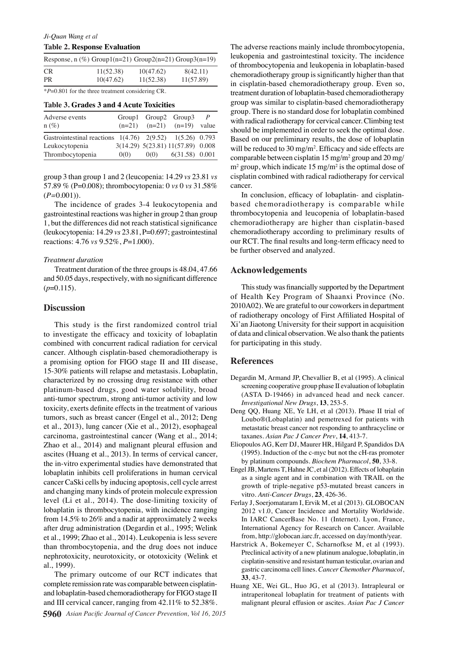| Response, $n$ (%) Group1( $n=21$ ) Group2( $n=21$ ) Group3( $n=19$ ) |           |           |           |  |  |  |  |
|----------------------------------------------------------------------|-----------|-----------|-----------|--|--|--|--|
| CR.                                                                  | 11(52.38) | 10(47.62) | 8(42.11)  |  |  |  |  |
| PR.                                                                  | 10(47.62) | 11(52.38) | 11(57.89) |  |  |  |  |
|                                                                      |           |           |           |  |  |  |  |

\**P*=0.801 for the three treatment considering CR.

#### **Table 3. Grades 3 and 4 Acute Toxicities**

| Adverse events<br>$n(\%)$                                      |      | Group1 Group2 Group3<br>$(n=21)$ $(n=21)$ $(n=19)$ | $\mathcal{P}$<br>value |
|----------------------------------------------------------------|------|----------------------------------------------------|------------------------|
| Gastrointestinal reactions $1(4.76)$ $2(9.52)$ $1(5.26)$ 0.793 |      |                                                    |                        |
| Leukocytopenia                                                 |      | 3(14.29) 5(23.81) 11(57.89) 0.008                  |                        |
| Thrombocytopenia                                               | 0(0) | $0(0)$ $6(31.58)$ $0.001$                          |                        |

group 3 than group 1 and 2 (leucopenia: 14.29 *vs* 23.81 *vs*  57.89 % (P=0.008); thrombocytopenia: 0 *vs* 0 *vs* 31.58% (*P=*0.001)).

The incidence of grades 3-4 leukocytopenia and gastrointestinal reactions was higher in group 2 than group 1, but the differences did not reach statistical significance (leukocytopenia: 14.29 *vs* 23.81, P=0.697; gastrointestinal reactions: 4.76 *vs* 9.52%, *P*=1.000).

#### *Treatment duration*

Treatment duration of the three groups is 48.04, 47.66 and 50.05 days, respectively, with no significant difference  $(p=0.115)$ .

#### **Discussion**

This study is the first randomized control trial to investigate the efficacy and toxicity of lobaplatin combined with concurrent radical radiation for cervical cancer. Although cisplatin-based chemoradiotherapy is a promising option for FIGO stage II and III disease, 15-30% patients will relapse and metastasis. Lobaplatin, characterized by no crossing drug resistance with other platinum-based drugs, good water solubility, broad anti-tumor spectrum, strong anti-tumor activity and low toxicity, exerts definite effects in the treatment of various tumors, such as breast cancer (Engel et al., 2012; Deng et al., 2013), lung cancer (Xie et al., 2012), esophageal carcinoma, gastrointestinal cancer (Wang et al., 2014; Zhao et al., 2014) and malignant pleural effusion and ascites (Huang et al., 2013). In terms of cervical cancer, the in-vitro experimental studies have demonstrated that lobaplatin inhibits cell proliferations in human cervical cancer CaSki cells by inducing apoptosis, cell cycle arrest and changing many kinds of protein molecule expression level (Li et al., 2014). The dose-limiting toxicity of lobaplatin is thrombocytopenia, with incidence ranging from 14.5% to 26% and a nadir at approximately 2 weeks after drug administration (Degardin et al., 1995; Welink et al., 1999; Zhao et al., 2014). Leukopenia is less severe than thrombocytopenia, and the drug does not induce nephrotoxicity, neurotoxicity, or ototoxicity (Welink et al., 1999).

The primary outcome of our RCT indicates that complete remission rate was comparable between cisplatinand lobaplatin-based chemoradiotherapy for FIGO stage II and III cervical cancer, ranging from 42.11% to 52.38%.

The adverse reactions mainly include thrombocytopenia, leukopenia and gastrointestinal toxicity. The incidence of thrombocytopenia and leukopenia in lobaplatin-based chemoradiotherapy group is significantly higher than that in cisplatin-based chemoradiotherapy group. Even so, treatment duration of lobaplatin-based chemoradiotherapy group was similar to cisplatin-based chemoradiotherapy group. There is no standard dose for lobaplatin combined with radical radiotherapy for cervical cancer. Climbing test should be implemented in order to seek the optimal dose. Based on our preliminary results, the dose of lobaplatin will be reduced to 30 mg/m<sup>2</sup>. Efficacy and side effects are comparable between cisplatin  $15 \text{ mg/m}^2$  group and  $20 \text{ mg/m}^2$  $m<sup>2</sup>$  group, which indicate 15 mg/m<sup>2</sup> is the optimal dose of cisplatin combined with radical radiotherapy for cervical cancer.

In conclusion, efficacy of lobaplatin- and cisplatinbased chemoradiotherapy is comparable while thrombocytopenia and leucopenia of lobaplatin-based chemoradiotherapy are higher than cisplatin-based chemoradiotherapy according to preliminary results of our RCT. The final results and long-term efficacy need to be further observed and analyzed.

## **Acknowledgements**

This study was financially supported by the Department of Health Key Program of Shaanxi Province (No. 2010A02). We are grateful to our coworkers in department of radiotherapy oncology of First Affiliated Hospital of Xi'an Jiaotong University for their support in acquisition of data and clinical observation. We also thank the patients for participating in this study.

#### **References**

- Degardin M, Armand JP, Chevallier B, et al (1995). A clinical screening cooperative group phase II evaluation of lobaplatin (ASTA D-19466) in advanced head and neck cancer. *Investigational New Drugs*, **13**, 253-5.
- Deng QQ, Huang XE, Ye LH, et al (2013). Phase II trial of Loubo®(Lobaplatin) and pemetrexed for patients with metastatic breast cancer not responding to anthracycline or taxanes. *Asian Pac J Cancer Prev*, **14**, 413-7.
- Eliopoulos AG, Kerr DJ, Maurer HR, Hilgard P, Spandidos DA (1995). Induction of the c-myc but not the cH-ras promoter by platinum compounds. *Biochem Pharmacol*, **50**, 33-8.
- Engel JB, Martens T, Hahne JC, et al (2012). Effects of lobaplatin as a single agent and in combination with TRAIL on the growth of triple-negative p53-mutated breast cancers in vitro. *Anti-Cancer Drugs*, **23**, 426-36.
- Ferlay J, Soerjomataram I, Ervik M, et al (2013). GLOBOCAN 2012 v1.0, Cancer Incidence and Mortality Worldwide. In IARC CancerBase No. 11 (Internet). Lyon, France, International Agency for Research on Cancer. Available from, http://globocan.iarc.fr, accessed on day/month/year.
- Harstrick A, Bokemeyer C, Scharnofkse M, et al (1993). Preclinical activity of a new platinum analogue, lobaplatin, in cisplatin-sensitive and resistant human testicular, ovarian and gastric carcinoma cell lines. *Cancer Chemother Pharmacol*, **33**, 43-7.
- Huang XE, Wei GL, Huo JG, et al (2013). Intrapleural or intraperitoneal lobaplatin for treatment of patients with malignant pleural effusion or ascites. *Asian Pac J Cancer*